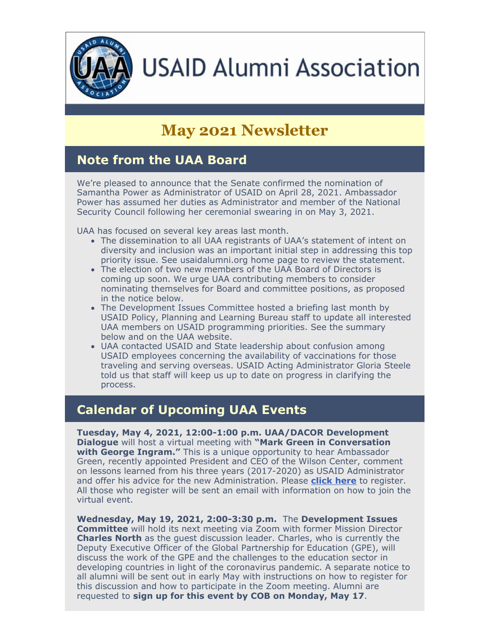

# **USAID Alumni Association**

## **May 2021 Newsletter**

#### **Note from the UAA Board**

We're pleased to announce that the Senate confirmed the nomination of Samantha Power as Administrator of USAID on April 28, 2021. Ambassador Power has assumed her duties as Administrator and member of the National Security Council following her ceremonial swearing in on May 3, 2021.

UAA has focused on several key areas last month.

- The dissemination to all UAA registrants of UAA's statement of intent on diversity and inclusion was an important initial step in addressing this top priority issue. See usaidalumni.org home page to review the statement.
- The election of two new members of the UAA Board of Directors is coming up soon. We urge UAA contributing members to consider nominating themselves for Board and committee positions, as proposed in the notice below.
- The Development Issues Committee hosted a briefing last month by USAID Policy, Planning and Learning Bureau staff to update all interested UAA members on USAID programming priorities. See the summary below and on the UAA website.
- UAA contacted USAID and State leadership about confusion among USAID employees concerning the availability of vaccinations for those traveling and serving overseas. USAID Acting Administrator Gloria Steele told us that staff will keep us up to date on progress in clarifying the process.

#### **Calendar of Upcoming UAA Events**

**Tuesday, May 4, 2021, 12:00-1:00 p.m. UAA/DACOR Development Dialogue** will host a virtual meeting with **"Mark Green in Conversation with George Ingram."** This is a unique opportunity to hear Ambassador Green, recently appointed President and CEO of the Wilson Center, comment on lessons learned from his three years (2017-2020) as USAID Administrator and offer his advice for the new Administration. Please **[click here](https://mms.dacorbacon.org/Calendar/moreinfo.php?eventid=31967)** to register. All those who register will be sent an email with information on how to join the virtual event.

**Wednesday, May 19, 2021, 2:00-3:30 p.m.** The **Development Issues Committee** will hold its next meeting via Zoom with former Mission Director **Charles North** as the guest discussion leader. Charles, who is currently the Deputy Executive Officer of the Global Partnership for Education (GPE), will discuss the work of the GPE and the challenges to the education sector in developing countries in light of the coronavirus pandemic. A separate notice to all alumni will be sent out in early May with instructions on how to register for this discussion and how to participate in the Zoom meeting. Alumni are requested to **sign up for this event by COB on Monday, May 17**.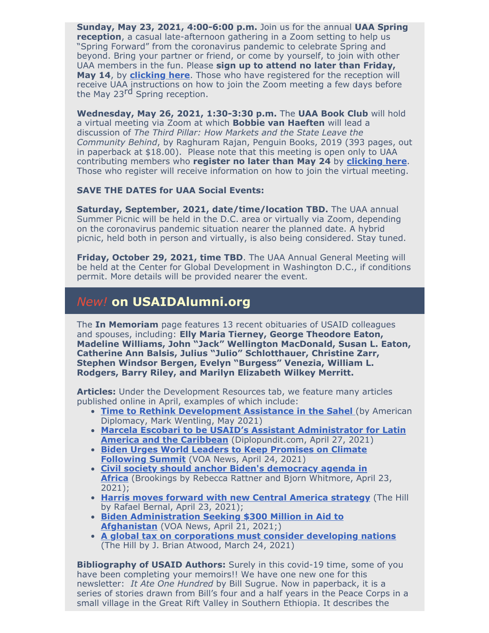**Sunday, May 23, 2021, 4:00-6:00 p.m.** Join us for the annual **UAA Spring reception**, a casual late-afternoon gathering in a Zoom setting to help us "Spring Forward" from the coronavirus pandemic to celebrate Spring and beyond. Bring your partner or friend, or come by yourself, to join with other UAA members in the fun. Please **sign up to attend no later than Friday, May 14**, by **[clicking here](https://conta.cc/2QvSHUS)**. Those who have registered for the reception will receive UAA instructions on how to join the Zoom meeting a few days before the May 23<sup>rd</sup> Spring reception.

**Wednesday, May 26, 2021, 1:30-3:30 p.m.** The **UAA Book Club** will hold a virtual meeting via Zoom at which **Bobbie van Haeften** will lead a discussion of *The Third Pillar: How Markets and the State Leave the Community Behind*, by Raghuram Rajan, Penguin Books, 2019 (393 pages, out in paperback at \$18.00). Please note that this meeting is open only to UAA contributing members who **register no later than May 24** by **[clicking here](https://conta.cc/3tbiQ97)**. Those who register will receive information on how to join the virtual meeting.

#### **SAVE THE DATES for UAA Social Events:**

**Saturday, September, 2021, date/time/location TBD.** The UAA annual Summer Picnic will be held in the D.C. area or virtually via Zoom, depending on the coronavirus pandemic situation nearer the planned date. A hybrid picnic, held both in person and virtually, is also being considered. Stay tuned.

**Friday, October 29, 2021, time TBD**. The UAA Annual General Meeting will be held at the Center for Global Development in Washington D.C., if conditions permit. More details will be provided nearer the event.

#### *New!* **on USAIDAlumni.org**

The **In Memoriam** page features 13 recent obituaries of USAID colleagues and spouses, including: **Elly Maria Tierney, George Theodore Eaton, Madeline Williams, John "Jack" Wellington MacDonald, Susan L. Eaton, Catherine Ann Balsis, Julius "Julio" Schlotthauer, Christine Zarr, Stephen Windsor Bergen, Evelyn "Burgess" Venezia, William L. Rodgers, Barry Riley, and Marilyn Elizabeth Wilkey Merritt.**

**Articles:** Under the Development Resources tab, we feature many articles published online in April, examples of which include:

- **[Time to Rethink Development Assistance in the Sahel](https://americandiplomacy.web.unc.edu/2021/05/time-to-rethink-development-assistance-in-the-sahel/) (by American** Diplomacy, Mark Wentling, May 2021)
- **[Marcela Escobari to be USAID's Assistant Administrator for Latin](https://diplopundit.net/2021/04/27/marcela-escobari-to-be-usaids-asst-administrator-for-latin-america-and-the-caribbean/) America and the Caribbean** (Diplopundit.com, April 27, 2021)
- **[Biden Urges World Leaders to Keep Promises on Climate](https://www.voanews.com/science-health/biden-urges-world-leaders-keep-promises-climate-following-summit) Following Summit** [\(](https://www.voanews.com/science-health/biden-urges-world-leaders-keep-promises-climate-following-summit)VOA News, April 24, 2021)
- **[Civil society should anchor Biden's democracy agenda in](https://www.brookings.edu/blog/africa-in-focus/2021/04/23/civil-society-should-anchor-bidens-democracy-agenda-in-africa/?utm_campaign=Brookings%20Brief&utm_medium=email&utm_content=123152753&utm_source=hs_email) Africa** [\(](https://www.brookings.edu/blog/africa-in-focus/2021/04/23/civil-society-should-anchor-bidens-democracy-agenda-in-africa/?utm_campaign=Brookings%20Brief&utm_medium=email&utm_content=123152753&utm_source=hs_email)Brookings by Rebecca Rattner and Bjorn Whitmore, April 23, 2021);
- **[Harris moves forward with new Central America strategy](https://thehill.com/policy/international/americas/549877-harris-moves-forward-with-new-central-america-strategy)** (The Hill by Rafael Bernal, April 23, 2021);
- **Biden Administration Seeking \$300 Million in Aid to Afghanistan** (VOA News, April 21, 2021;)
- **A global tax on corporations must consider developing nations** (The Hill by J. Brian Atwood, March 24, 2021)

**Bibliography of USAID Authors:** Surely in this covid-19 time, some of you have been completing your memoirs!! We have one new one for this newsletter: *It Ate One Hundred* by Bill Sugrue. Now in paperback, it is a series of stories drawn from Bill's four and a half years in the Peace Corps in a small village in the Great Rift Valley in Southern Ethiopia. It describes the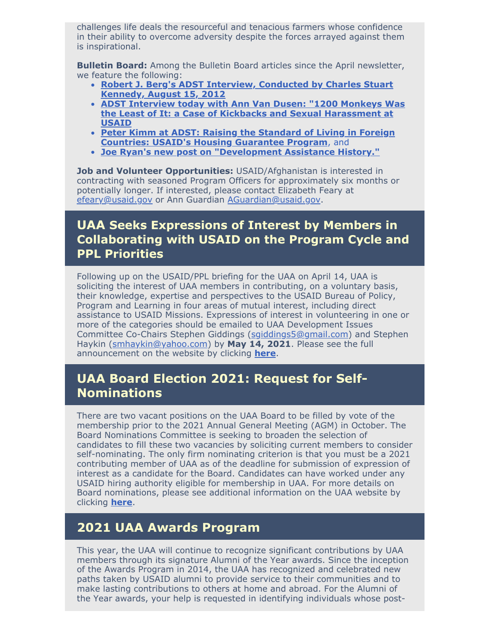challenges life deals the resourceful and tenacious farmers whose confidence in their ability to overcome adversity despite the forces arrayed against them is inspirational.

**Bulletin Board:** Among the Bulletin Board articles since the April newsletter, we feature the following:

- **[Robert J. Berg's ADST Interview, Conducted by Charles Stuart](https://www.usaidalumni.org/uaa-forum/forum-1/robert-j-bergs-adst-interview-conducted-by-charles-stuart-kennedy-august-15-2012/) Kennedy, August 15, 2012**
- **[ADST Interview today with Ann Van Dusen: "1200 Monkeys Was](https://www.usaidalumni.org/uaa-forum/forum-1/adst-interview-today-with-ann-van-dusen-1200-monkeys-was-the-least-of-it-a-case-of-kickbacks-and-sexual-harassment-at-usaid/) the Least of It: a Case of Kickbacks and Sexual Harassment at USAID**
- **[Peter Kimm at ADST: Raising the Standard of Living in Foreign](https://www.usaidalumni.org/uaa-forum/forum-1/peter-kimm-at-adst-raising-the-standard-of-living-in-foreign-countries-usaids-housing-guarantee-program/) Countries: USAID's Housing Guarantee Program**, and
- **[Joe Ryan's new post on "Development Assistance History."](https://www.usaidalumni.org/uaa-forum/forum-1/joe-ryans-new-post-on-development-assistance-history/)**  $\bullet$

**Job and Volunteer Opportunities:** USAID/Afghanistan is interested in contracting with seasoned Program Officers for approximately six months or potentially longer. If interested, please contact Elizabeth Feary at [efeary@usaid.gov](mailto:efeary@usaid.gov) or Ann Guardian [AGuardian@usaid.gov.](mailto:AGuardian@usaid.gov)

#### **UAA Seeks Expressions of Interest by Members in Collaborating with USAID on the Program Cycle and PPL Priorities**

Following up on the USAID/PPL briefing for the UAA on April 14, UAA is soliciting the interest of UAA members in contributing, on a voluntary basis, their knowledge, expertise and perspectives to the USAID Bureau of Policy, Program and Learning in four areas of mutual interest, including direct assistance to USAID Missions. Expressions of interest in volunteering in one or more of the categories should be emailed to UAA Development Issues Committee Co-Chairs Stephen Giddings ([sgiddings5@gmail.com](mailto:sgiddings5@gmail.com)) and Stephen Haykin ([smhaykin@yahoo.com\)](mailto:smhaykin@yahoo.com) by **May 14, 2021**. Please see the full announcement on the website by clicking **[here](https://www.usaidalumni.org/2021/expressions-of-interest-in-uaa-members-collaboration-with-usaid-on-the-program-cycle-and-ppl-priorities/)**.

#### **UAA Board Election 2021: Request for Self-Nominations**

There are two vacant positions on the UAA Board to be filled by vote of the membership prior to the 2021 Annual General Meeting (AGM) in October. The Board Nominations Committee is seeking to broaden the selection of candidates to fill these two vacancies by soliciting current members to consider self-nominating. The only firm nominating criterion is that you must be a 2021 contributing member of UAA as of the deadline for submission of expression of interest as a candidate for the Board. Candidates can have worked under any USAID hiring authority eligible for membership in UAA. For more details on Board nominations, please see additional information on the UAA website by clicking **[here](https://www.usaidalumni.org/2021/uaa-board-election-2021-request-for-self-nominations/)**.

#### **2021 UAA Awards Program**

This year, the UAA will continue to recognize significant contributions by UAA members through its signature Alumni of the Year awards. Since the inception of the Awards Program in 2014, the UAA has recognized and celebrated new paths taken by USAID alumni to provide service to their communities and to make lasting contributions to others at home and abroad. For the Alumni of the Year awards, your help is requested in identifying individuals whose post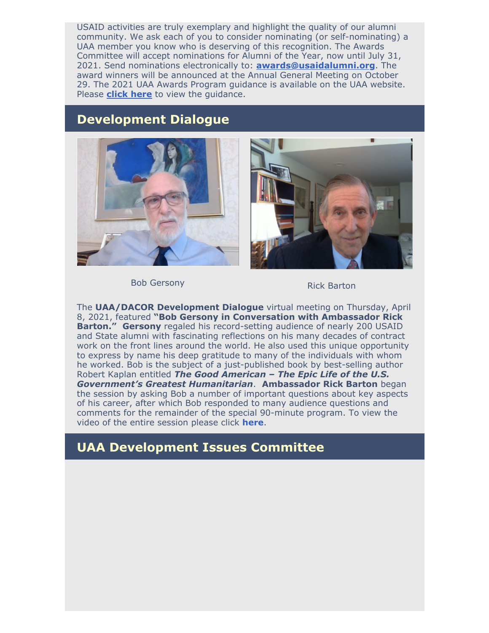USAID activities are truly exemplary and highlight the quality of our alumni community. We ask each of you to consider nominating (or self-nominating) a UAA member you know who is deserving of this recognition. The Awards Committee will accept nominations for Alumni of the Year, now until July 31, 2021. Send nominations electronically to: **[awards@usaidalumni.org](mailto:awards@usaidalumni.org)**. The award winners will be announced at the Annual General Meeting on October 29. The 2021 UAA Awards Program guidance is available on the UAA website. Please **[click here](https://www.usaidalumni.org/wp-content/uploads/2021/04/UAA-Awards-Announcement-and-Guidance-2021.pdf)** to view the guidance.

#### **Development Dialogue**





Bob Gersony **Rick Barton** 

The **UAA/DACOR Development Dialogue** virtual meeting on Thursday, April 8, 2021, featured **"Bob Gersony in Conversation with Ambassador Rick Barton." Gersony** regaled his record-setting audience of nearly 200 USAID and State alumni with fascinating reflections on his many decades of contract work on the front lines around the world. He also used this unique opportunity to express by name his deep gratitude to many of the individuals with whom he worked. Bob is the subject of a just-published book by best-selling author Robert Kaplan entitled *The Good American – The Epic Life of the U.S. Government's Greatest Humanitarian*. **Ambassador Rick Barton** began the session by asking Bob a number of important questions about key aspects of his career, after which Bob responded to many audience questions and comments for the remainder of the special 90-minute program. To view the video of the entire session please click **[here](https://vimeo.com/534914406/f02a7aaacf)**.

#### **UAA Development Issues Committee**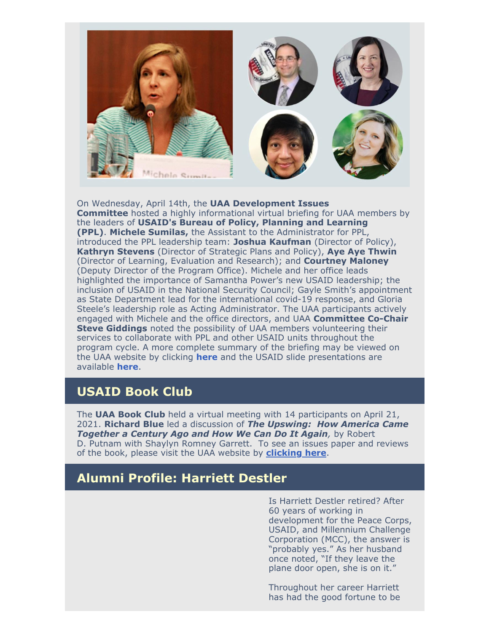

On Wednesday, April 14th, the **UAA Development Issues Committee** hosted a highly informational virtual briefing for UAA members by the leaders of **USAID's Bureau of Policy, Planning and Learning (PPL)**. **Michele Sumilas,** the Assistant to the Administrator for PPL, introduced the PPL leadership team: **Joshua Kaufman** (Director of Policy), **Kathryn Stevens** (Director of Strategic Plans and Policy), **Aye Aye Thwin** (Director of Learning, Evaluation and Research); and **Courtney Maloney** (Deputy Director of the Program Office). Michele and her office leads highlighted the importance of Samantha Power's new USAID leadership; the inclusion of USAID in the National Security Council; Gayle Smith's appointment as State Department lead for the international covid-19 response, and Gloria Steele's leadership role as Acting Administrator. The UAA participants actively engaged with Michele and the office directors, and UAA **Committee Co-Chair Steve Giddings** noted the possibility of UAA members volunteering their services to collaborate with PPL and other USAID units throughout the program cycle. A more complete summary of the briefing may be viewed on the UAA website by clicking **[here](https://www.usaidalumni.org/wp-content/uploads/2021/04/Summary-of-DIC-PPL-Briefing-of-April-14-2021.pdf)** and the USAID slide presentations are available **[here](https://www.usaidalumni.org/wp-content/uploads/2021/04/UAA-Presentation-04_14_2021-1-1.pdf)**.

#### **USAID Book Club**

The **UAA Book Club** held a virtual meeting with 14 participants on April 21, 2021. **Richard Blue** led a discussion of *The Upswing: How America Came Together a Century Ago and How We Can Do It Again,* by Robert D. Putnam with Shaylyn Romney Garrett. To see an issues paper and reviews of the book, please visit the UAA website by **[clicking here](https://www.usaidalumni.org/wp-content/uploads/2021/04/UAA-Book-Club-March-24-2021-Issues-Paper-The-Upswing-March-14.-2021-draft.pdf)**.

#### **Alumni Profile: Harriett Destler**

Is Harriett Destler retired? After 60 years of working in development for the Peace Corps, USAID, and Millennium Challenge Corporation (MCC), the answer is "probably yes." As her husband once noted, "If they leave the plane door open, she is on it."

Throughout her career Harriett has had the good fortune to be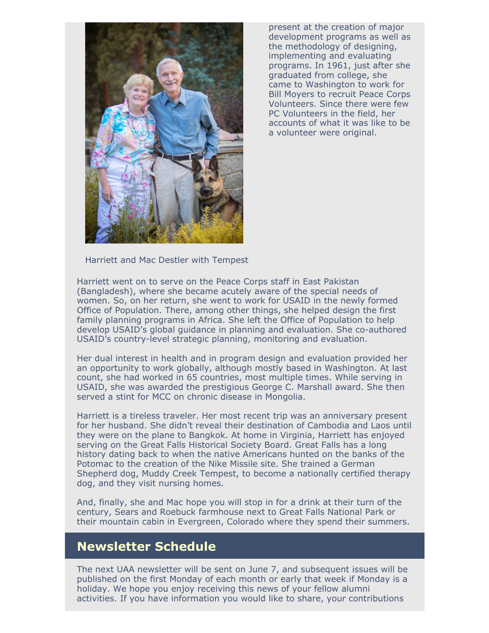

present at the creation of major development programs as well as the methodology of designing, implementing and evaluating programs. In 1961, just after she graduated from college, she came to Washington to work for Bill Moyers to recruit Peace Corps Volunteers. Since there were few PC Volunteers in the field, her accounts of what it was like to be a volunteer were original.

Harriett and Mac Destler with Tempest

Harriett went on to serve on the Peace Corps staff in East Pakistan (Bangladesh), where she became acutely aware of the special needs of women. So, on her return, she went to work for USAID in the newly formed Office of Population. There, among other things, she helped design the first family planning programs in Africa. She left the Office of Population to help develop USAID's global guidance in planning and evaluation. She co-authored USAID's country-level strategic planning, monitoring and evaluation.

Her dual interest in health and in program design and evaluation provided her an opportunity to work globally, although mostly based in Washington. At last count, she had worked in 65 countries, most multiple times. While serving in USAID, she was awarded the prestigious George C. Marshall award. She then served a stint for MCC on chronic disease in Mongolia.

Harriett is a tireless traveler. Her most recent trip was an anniversary present for her husband. She didn't reveal their destination of Cambodia and Laos until they were on the plane to Bangkok. At home in Virginia, Harriett has enjoyed serving on the Great Falls Historical Society Board. Great Falls has a long history dating back to when the native Americans hunted on the banks of the Potomac to the creation of the Nike Missile site. She trained a German Shepherd dog, Muddy Creek Tempest, to become a nationally certified therapy dog, and they visit nursing homes.

And, finally, she and Mac hope you will stop in for a drink at their turn of the century, Sears and Roebuck farmhouse next to Great Falls National Park or their mountain cabin in Evergreen, Colorado where they spend their summers.

#### **Newsletter Schedule**

The next UAA newsletter will be sent on June 7, and subsequent issues will be published on the first Monday of each month or early that week if Monday is a holiday. We hope you enjoy receiving this news of your fellow alumni activities. If you have information you would like to share, your contributions